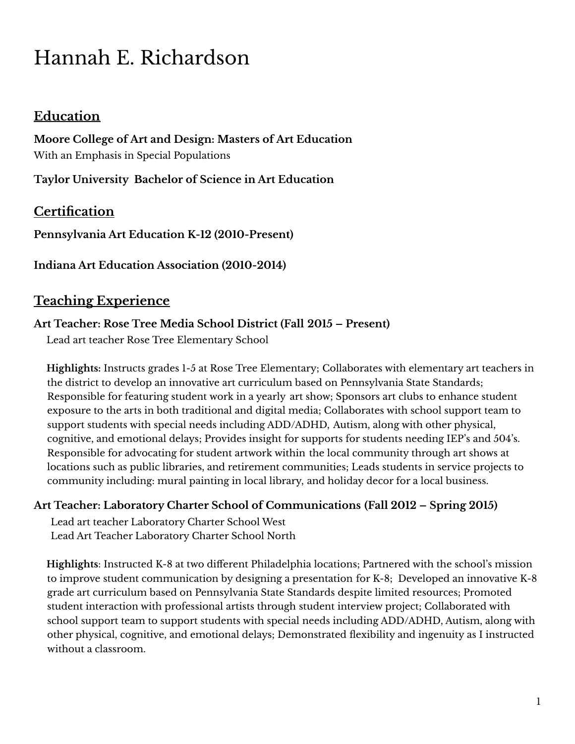# Hannah E. Richardson

# **Education**

**Moore College of Art and Design: Masters of Art Education** With an Emphasis in Special Populations

**Taylor University Bachelor of Science in Art Education**

# **Certification**

**Pennsylvania Art Education K-12 (2010-Present)**

**Indiana Art Education Association (2010-2014)**

# **Teaching Experience**

#### **Art Teacher: Rose Tree Media School District (Fall 2015 – Present)**

Lead art teacher Rose Tree Elementary School

**Highlights:** Instructs grades 1-5 at Rose Tree Elementary; Collaborates with elementary art teachers in the district to develop an innovative art curriculum based on Pennsylvania State Standards; Responsible for featuring student work in a yearly art show; Sponsors art clubs to enhance student exposure to the arts in both traditional and digital media; Collaborates with school support team to support students with special needs including ADD/ADHD, Autism, along with other physical, cognitive, and emotional delays; Provides insight for supports for students needing IEP's and 504's. Responsible for advocating for student artwork within the local community through art shows at locations such as public libraries, and retirement communities; Leads students in service projects to community including: mural painting in local library, and holiday decor for a local business.

## **Art Teacher: Laboratory Charter School of Communications (Fall 2012 – Spring 2015)**

Lead art teacher Laboratory Charter School West Lead Art Teacher Laboratory Charter School North

**Highlights**: Instructed K-8 at two different Philadelphia locations; Partnered with the school's mission to improve student communication by designing a presentation for K-8; Developed an innovative K-8 grade art curriculum based on Pennsylvania State Standards despite limited resources; Promoted student interaction with professional artists through student interview project; Collaborated with school support team to support students with special needs including ADD/ADHD, Autism, along with other physical, cognitive, and emotional delays; Demonstrated flexibility and ingenuity as I instructed without a classroom.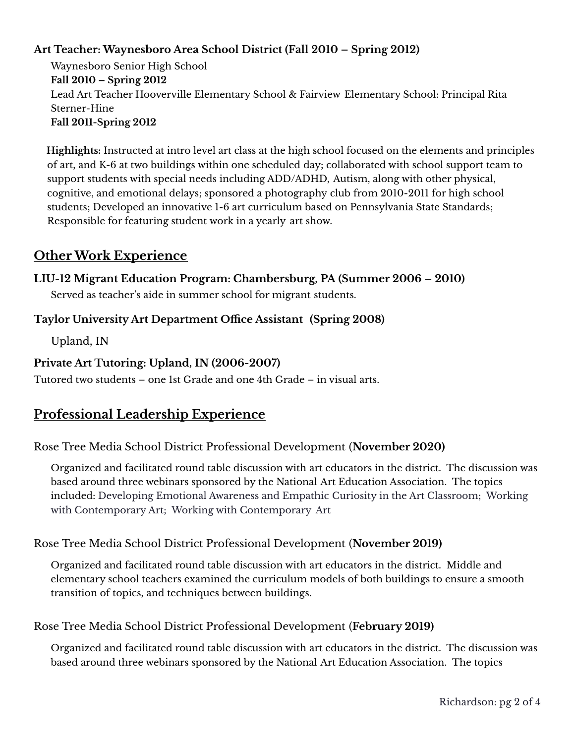## **Art Teacher: Waynesboro Area School District (Fall 2010 – Spring 2012)**

Waynesboro Senior High School **Fall 2010 – Spring 2012** Lead Art Teacher Hooverville Elementary School & Fairview Elementary School: Principal Rita Sterner-Hine **Fall 2011-Spring 2012**

**Highlights:** Instructed at intro level art class at the high school focused on the elements and principles of art, and K-6 at two buildings within one scheduled day; collaborated with school support team to support students with special needs including ADD/ADHD, Autism, along with other physical, cognitive, and emotional delays; sponsored a photography club from 2010-2011 for high school students; Developed an innovative 1-6 art curriculum based on Pennsylvania State Standards; Responsible for featuring student work in a yearly art show.

# **Other Work Experience**

#### **LIU-12 Migrant Education Program: Chambersburg, PA (Summer 2006 – 2010)**

Served as teacher's aide in summer school for migrant students.

#### **Taylor University Art Department Office Assistant (Spring 2008)**

Upland, IN

#### **Private Art Tutoring: Upland, IN (2006-2007)**

Tutored two students – one 1st Grade and one 4th Grade – in visual arts.

# **Professional Leadership Experience**

#### Rose Tree Media School District Professional Development (**November 2020)**

Organized and facilitated round table discussion with art educators in the district. The discussion was based around three webinars sponsored by the National Art Education Association. The topics included: Developing Emotional Awareness and Empathic Curiosity in the Art Classroom; Working with Contemporary Art; Working with Contemporary Art

#### Rose Tree Media School District Professional Development (**November 2019)**

Organized and facilitated round table discussion with art educators in the district. Middle and elementary school teachers examined the curriculum models of both buildings to ensure a smooth transition of topics, and techniques between buildings.

#### Rose Tree Media School District Professional Development (**February 2019)**

Organized and facilitated round table discussion with art educators in the district. The discussion was based around three webinars sponsored by the National Art Education Association. The topics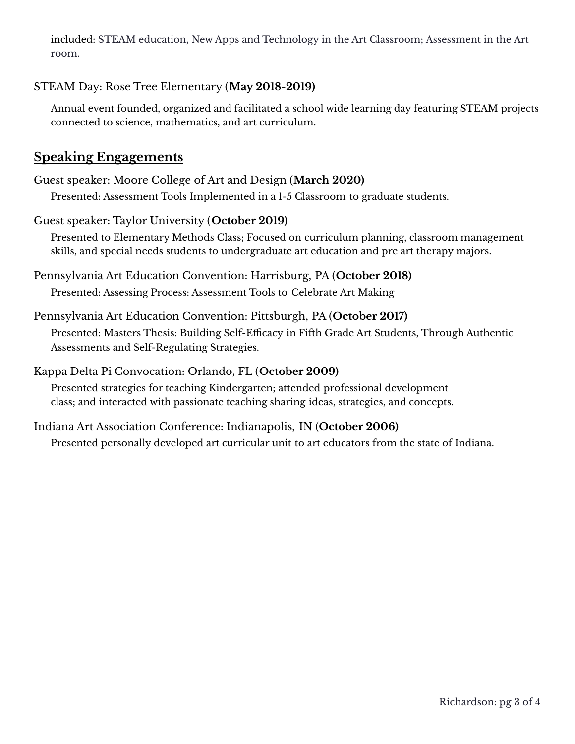included: STEAM education, New Apps and Technology in the Art Classroom; Assessment in the Art room.

## STEAM Day: Rose Tree Elementary (**May 2018-2019)**

Annual event founded, organized and facilitated a school wide learning day featuring STEAM projects connected to science, mathematics, and art curriculum.

# **Speaking Engagements**

## Guest speaker: Moore College of Art and Design (**March 2020)**

Presented: Assessment Tools Implemented in a 1-5 Classroom to graduate students.

#### Guest speaker: Taylor University (**October 2019)**

Presented to Elementary Methods Class; Focused on curriculum planning, classroom management skills, and special needs students to undergraduate art education and pre art therapy majors.

#### Pennsylvania Art Education Convention: Harrisburg, PA (**October 2018)**

Presented: Assessing Process: Assessment Tools to Celebrate Art Making

#### Pennsylvania Art Education Convention: Pittsburgh, PA (**October 2017)**

Presented: Masters Thesis: Building Self-Efficacy in Fifth Grade Art Students, Through Authentic Assessments and Self-Regulating Strategies.

#### Kappa Delta Pi Convocation: Orlando, FL (**October 2009)**

Presented strategies for teaching Kindergarten; attended professional development class; and interacted with passionate teaching sharing ideas, strategies, and concepts.

## Indiana Art Association Conference: Indianapolis, IN (**October 2006)**

Presented personally developed art curricular unit to art educators from the state of Indiana.